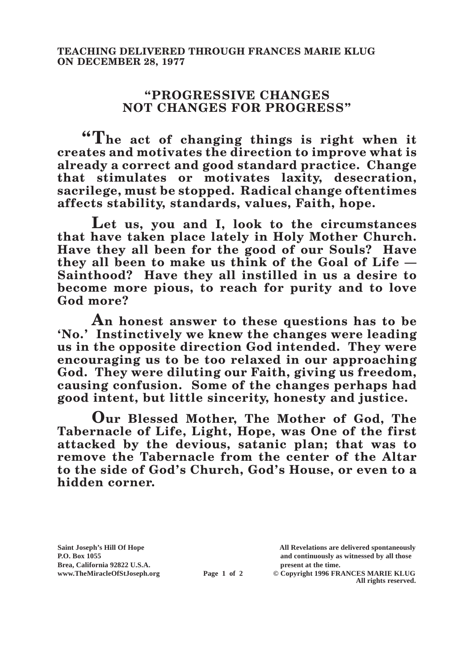## **"PROGRESSIVE CHANGES NOT CHANGES FOR PROGRESS"**

**"The act of changing things is right when it creates and motivates the direction to improve what is already a correct and good standard practice. Change that stimulates or motivates laxity, desecration, sacrilege, must be stopped. Radical change oftentimes affects stability, standards, values, Faith, hope.**

**Let us, you and I, look to the circumstances that have taken place lately in Holy Mother Church. Have they all been for the good of our Souls? Have they all been to make us think of the Goal of Life — Sainthood? Have they all instilled in us a desire to become more pious, to reach for purity and to love God more?**

**An honest answer to these questions has to be 'No.' Instinctively we knew the changes were leading us in the opposite direction God intended. They were encouraging us to be too relaxed in our approaching**  God. They were diluting our Faith, giving us freedom, **causing confusion. Some of the changes perhaps had good intent, but little sincerity, honesty and justice.**

**Our Blessed Mother, The Mother of God, The Tabernacle of Life, Light, Hope, was One of the first attacked by the devious, satanic plan; that was to remove the Tabernacle from the center of the Altar to the side of God's Church, God's House, or even to a hidden corner.**

**Brea, California 92822 U.S.A. present at the time.**<br> **present at the time.**<br> **present at the time.**<br> **present at the time.**<br> **present at the time.**<br> **present at the time.** 

**Saint Joseph's Hill Of Hope All Revelations are delivered spontaneously P.O. Box 1055 and continuously as witnessed by all those** 

**Page 1 of 2** © Copyright 1996 FRANCES MARIE KLUG **All rights reserved.**